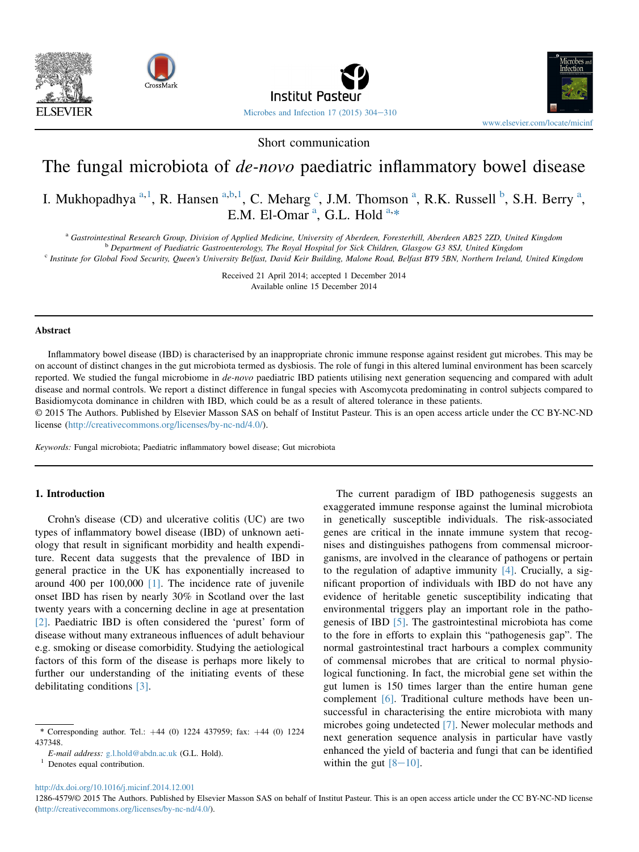





[www.elsevier.com/locate/micinf](http://www.elsevier.com/locate/micinf)

Short communication

# The fungal microbiota of *de-novo* paediatric inflammatory bowel disease

## I. Mukhopadhya <sup>a, 1</sup>, R. Hansen <sup>a, b, 1</sup>, C. Meharg <sup>c</sup>, J.M. Thomson <sup>a</sup>, R.K. Russell <sup>b</sup>, S.H. Berry <sup>a</sup>, E.M. El-Omar<sup>a</sup>, G.L. Hold<sup>a,\*</sup>

<sup>a</sup> Gastrointestinal Research Group, Division of Applied Medicine, University of Aberdeen, Foresterhill, Aberdeen AB25 2ZD, United Kingdom <sup>b</sup> Department of Paediatric Gastroenterology, The Royal Hospital for Sick Children, Glasgow G3 8SJ, United Kingdom

<sup>c</sup> Institute for Global Food Security, Queen's University Belfast, David Keir Building, Malone Road, Belfast BT9 5BN, Northern Ireland, United Kingdom

Received 21 April 2014; accepted 1 December 2014 Available online 15 December 2014

## Abstract

Inflammatory bowel disease (IBD) is characterised by an inappropriate chronic immune response against resident gut microbes. This may be on account of distinct changes in the gut microbiota termed as dysbiosis. The role of fungi in this altered luminal environment has been scarcely reported. We studied the fungal microbiome in *de-novo* paediatric IBD patients utilising next generation sequencing and compared with adult disease and normal controls. We report a distinct difference in fungal species with Ascomycota predominating in control subjects compared to Basidiomycota dominance in children with IBD, which could be as a result of altered tolerance in these patients.

© 2015 The Authors. Published by Elsevier Masson SAS on behalf of Institut Pasteur. This is an open access article under the CC BY-NC-ND license ([http://creativecommons.org/licenses/by-nc-nd/4.0/\)](http://creativecommons.org/licenses/by-nc-nd/4.�0/).

Keywords: Fungal microbiota; Paediatric inflammatory bowel disease; Gut microbiota

## 1. Introduction

Crohn's disease (CD) and ulcerative colitis (UC) are two types of inflammatory bowel disease (IBD) of unknown aetiology that result in significant morbidity and health expenditure. Recent data suggests that the prevalence of IBD in general practice in the UK has exponentially increased to around 400 per 100,000 [\[1\].](#page-5-0) The incidence rate of juvenile onset IBD has risen by nearly 30% in Scotland over the last twenty years with a concerning decline in age at presentation [\[2\]](#page-5-0). Paediatric IBD is often considered the 'purest' form of disease without many extraneous influences of adult behaviour e.g. smoking or disease comorbidity. Studying the aetiological factors of this form of the disease is perhaps more likely to further our understanding of the initiating events of these debilitating conditions [\[3\]](#page-5-0).

The current paradigm of IBD pathogenesis suggests an exaggerated immune response against the luminal microbiota in genetically susceptible individuals. The risk-associated genes are critical in the innate immune system that recognises and distinguishes pathogens from commensal microorganisms, are involved in the clearance of pathogens or pertain to the regulation of adaptive immunity [\[4\]](#page-5-0). Crucially, a significant proportion of individuals with IBD do not have any evidence of heritable genetic susceptibility indicating that environmental triggers play an important role in the pathogenesis of IBD [\[5\]](#page-5-0). The gastrointestinal microbiota has come to the fore in efforts to explain this "pathogenesis gap". The normal gastrointestinal tract harbours a complex community of commensal microbes that are critical to normal physiological functioning. In fact, the microbial gene set within the gut lumen is 150 times larger than the entire human gene complement [\[6\]](#page-5-0). Traditional culture methods have been unsuccessful in characterising the entire microbiota with many microbes going undetected [\[7\]](#page-5-0). Newer molecular methods and next generation sequence analysis in particular have vastly enhanced the yield of bacteria and fungi that can be identified within the gut  $[8-10]$  $[8-10]$  $[8-10]$ .

<http://dx.doi.org/10.1016/j.micinf.2014.12.001>

1286-4579/© 2015 The Authors. Published by Elsevier Masson SAS on behalf of Institut Pasteur. This is an open access article under the CC BY-NC-ND license [\(http://creativecommons.org/licenses/by-nc-nd/4.0/\)](http://creativecommons.org/licenses/by-nc-nd/4.�0/).

<sup>\*</sup> Corresponding author. Tel.: +44 (0) 1224 437959; fax: +44 (0) 1224 437348.

E-mail address: [g.l.hold@abdn.ac.uk](mailto:g.l.hold@abdn.ac.uk) (G.L. Hold).<sup>1</sup> Denotes equal contribution.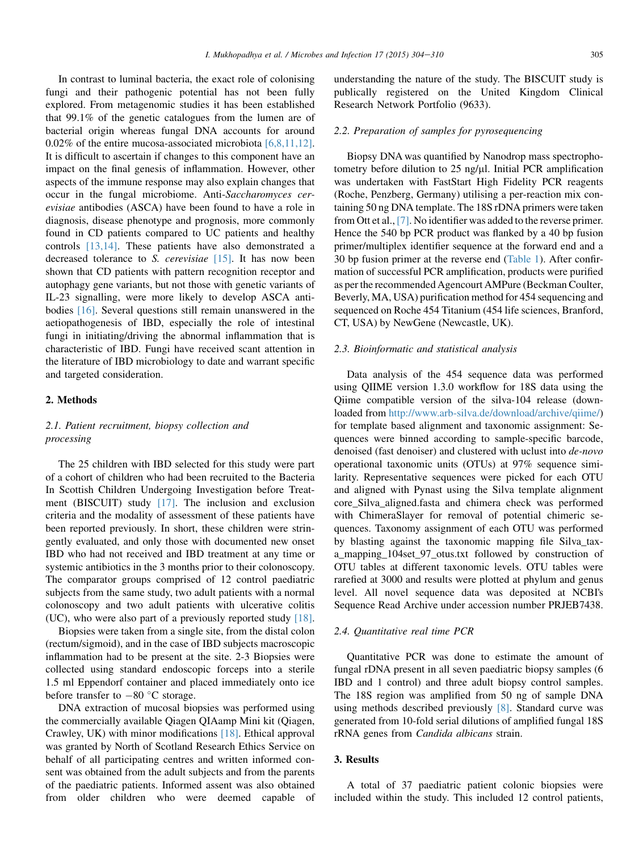In contrast to luminal bacteria, the exact role of colonising fungi and their pathogenic potential has not been fully explored. From metagenomic studies it has been established that 99.1% of the genetic catalogues from the lumen are of bacterial origin whereas fungal DNA accounts for around 0.02% of the entire mucosa-associated microbiota [\[6,8,11,12\]](#page-5-0). It is difficult to ascertain if changes to this component have an impact on the final genesis of inflammation. However, other aspects of the immune response may also explain changes that occur in the fungal microbiome. Anti-Saccharomyces cerevisiae antibodies (ASCA) have been found to have a role in diagnosis, disease phenotype and prognosis, more commonly found in CD patients compared to UC patients and healthy controls [\[13,14\]](#page-5-0). These patients have also demonstrated a decreased tolerance to S. *cerevisiae* [\[15\].](#page-5-0) It has now been shown that CD patients with pattern recognition receptor and autophagy gene variants, but not those with genetic variants of IL-23 signalling, were more likely to develop ASCA antibodies [\[16\].](#page-5-0) Several questions still remain unanswered in the aetiopathogenesis of IBD, especially the role of intestinal fungi in initiating/driving the abnormal inflammation that is characteristic of IBD. Fungi have received scant attention in the literature of IBD microbiology to date and warrant specific and targeted consideration.

## 2. Methods

## 2.1. Patient recruitment, biopsy collection and processing

The 25 children with IBD selected for this study were part of a cohort of children who had been recruited to the Bacteria In Scottish Children Undergoing Investigation before Treatment (BISCUIT) study [\[17\]](#page-5-0). The inclusion and exclusion criteria and the modality of assessment of these patients have been reported previously. In short, these children were stringently evaluated, and only those with documented new onset IBD who had not received and IBD treatment at any time or systemic antibiotics in the 3 months prior to their colonoscopy. The comparator groups comprised of 12 control paediatric subjects from the same study, two adult patients with a normal colonoscopy and two adult patients with ulcerative colitis (UC), who were also part of a previously reported study [\[18\]](#page-5-0).

Biopsies were taken from a single site, from the distal colon (rectum/sigmoid), and in the case of IBD subjects macroscopic inflammation had to be present at the site. 2-3 Biopsies were collected using standard endoscopic forceps into a sterile 1.5 ml Eppendorf container and placed immediately onto ice before transfer to  $-80$  °C storage.

DNA extraction of mucosal biopsies was performed using the commercially available Qiagen QIAamp Mini kit (Qiagen, Crawley, UK) with minor modifications [\[18\]](#page-5-0). Ethical approval was granted by North of Scotland Research Ethics Service on behalf of all participating centres and written informed consent was obtained from the adult subjects and from the parents of the paediatric patients. Informed assent was also obtained from older children who were deemed capable of understanding the nature of the study. The BISCUIT study is publically registered on the United Kingdom Clinical Research Network Portfolio (9633).

## 2.2. Preparation of samples for pyrosequencing

Biopsy DNA was quantified by Nanodrop mass spectrophotometry before dilution to  $25$  ng/ $\mu$ l. Initial PCR amplification was undertaken with FastStart High Fidelity PCR reagents (Roche, Penzberg, Germany) utilising a per-reaction mix containing 50 ng DNA template. The 18S rDNA primers were taken from Ott et al., [\[7\].](#page-5-0) No identifier was added to the reverse primer. Hence the 540 bp PCR product was flanked by a 40 bp fusion primer/multiplex identifier sequence at the forward end and a 30 bp fusion primer at the reverse end [\(Table 1](#page-2-0)). After confirmation of successful PCR amplification, products were purified as per the recommended Agencourt AMPure (Beckman Coulter, Beverly, MA, USA) purification method for 454 sequencing and sequenced on Roche 454 Titanium (454 life sciences, Branford, CT, USA) by NewGene (Newcastle, UK).

## 2.3. Bioinformatic and statistical analysis

Data analysis of the 454 sequence data was performed using QIIME version 1.3.0 workflow for 18S data using the Qiime compatible version of the silva-104 release (downloaded from <http://www.arb-silva.de/download/archive/qiime/>) for template based alignment and taxonomic assignment: Sequences were binned according to sample-specific barcode, denoised (fast denoiser) and clustered with uclust into de-novo operational taxonomic units (OTUs) at 97% sequence similarity. Representative sequences were picked for each OTU and aligned with Pynast using the Silva template alignment core\_Silva\_aligned.fasta and chimera check was performed with ChimeraSlayer for removal of potential chimeric sequences. Taxonomy assignment of each OTU was performed by blasting against the taxonomic mapping file Silva\_taxa\_mapping\_104set\_97\_otus.txt followed by construction of OTU tables at different taxonomic levels. OTU tables were rarefied at 3000 and results were plotted at phylum and genus level. All novel sequence data was deposited at NCBI's Sequence Read Archive under accession number PRJEB7438.

#### 2.4. Quantitative real time PCR

Quantitative PCR was done to estimate the amount of fungal rDNA present in all seven paediatric biopsy samples (6 IBD and 1 control) and three adult biopsy control samples. The 18S region was amplified from 50 ng of sample DNA using methods described previously [\[8\]](#page-5-0). Standard curve was generated from 10-fold serial dilutions of amplified fungal 18S rRNA genes from Candida albicans strain.

### 3. Results

A total of 37 paediatric patient colonic biopsies were included within the study. This included 12 control patients,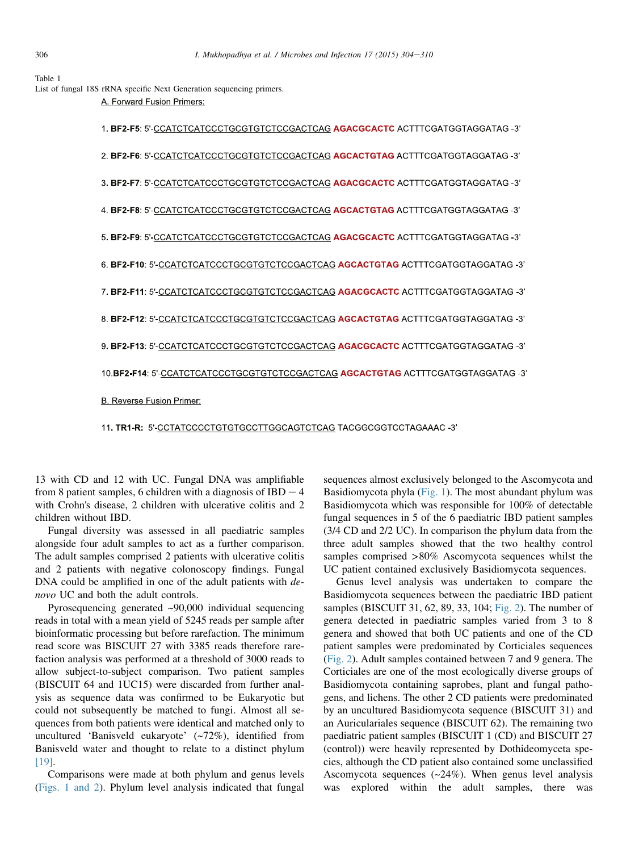#### <span id="page-2-0"></span>Table 1

List of fungal 18S rRNA specific Next Generation sequencing primers.

A. Forward Fusion Primers:

| 1. BF2-F5: 5'-CCATCTCATCCCTGCGTGTCTCCGACTCAG AGACGCACTC ACTTTCGATGGTAGGATAG -3'          |
|------------------------------------------------------------------------------------------|
| 2. BF2-F6: 5'-CCATCTCATCCCTGCGTGTCTCCGACTCAG AGCACTGTAG ACTTTCGATGGTAGGATAG -3'          |
| 3. BF2-F7: 5'-CCATCTCATCCCTGCGTGTCTCCGACTCAG AGACGCACTC ACTTTCGATGGTAGGATAG -3'          |
| 4. BF2-F8: 5'-CCATCTCATCCCTGCGTGTCTCCGACTCAG AGCACTGTAG ACTTTCGATGGTAGGATAG -3'          |
| 5. BF2-F9: 5'-CCATCTCATCCCTGCGTGTCTCCGACTCAG AGACGCACTC ACTTTCGATGGTAGGATAG -3'          |
| 6. BF2-F10: 5'-CCATCTCATCCCTGCGTGTCTCCGACTCAG AGCACTGTAG ACTTTCGATGGTAGGATAG -3'         |
| 7. BF2-F11: 5'- <u>CCATCTCATCCCTGCGTGTCTCCGACTCAG</u> AGACGCACTC ACTTTCGATGGTAGGATAG -3' |
| 8. BF2-F12: 5'-CCATCTCATCCCTGCGTGTCTCCGACTCAG AGCACTGTAG ACTTTCGATGGTAGGATAG -3'         |
| 9. BF2-F13: 5'-CCATCTCATCCCTGCGTGTCTCCGACTCAG AGACGCACTC ACTTTCGATGGTAGGATAG -3'         |
| 10.BF2-F14: 5'-CCATCTCATCCCTGCGTGTCTCCGACTCAG AGCACTGTAG ACTTTCGATGGTAGGATAG -3'         |
| B. Reverse Fusion Primer:                                                                |

11. TR1-R: 5'-CCTATCCCCTGTGTGCCTTGGCAGTCTCAG TACGGCGGTCCTAGAAAC-3'

13 with CD and 12 with UC. Fungal DNA was amplifiable from 8 patient samples, 6 children with a diagnosis of  $IBD - 4$ with Crohn's disease, 2 children with ulcerative colitis and 2 children without IBD.

Fungal diversity was assessed in all paediatric samples alongside four adult samples to act as a further comparison. The adult samples comprised 2 patients with ulcerative colitis and 2 patients with negative colonoscopy findings. Fungal DNA could be amplified in one of the adult patients with *de*novo UC and both the adult controls.

Pyrosequencing generated ~90,000 individual sequencing reads in total with a mean yield of 5245 reads per sample after bioinformatic processing but before rarefaction. The minimum read score was BISCUIT 27 with 3385 reads therefore rarefaction analysis was performed at a threshold of 3000 reads to allow subject-to-subject comparison. Two patient samples (BISCUIT 64 and 1UC15) were discarded from further analysis as sequence data was confirmed to be Eukaryotic but could not subsequently be matched to fungi. Almost all sequences from both patients were identical and matched only to could not subsequently be matched to fungl. Almost all sequences from both patients were identical and matched only to uncultured 'Banisveld eukaryote'  $(\sim 72\%)$ , identified from Banisveld water and thought to relate to a distinct phylum [\[19\]](#page-5-0).

Comparisons were made at both phylum and genus levels [\(Figs. 1 and 2\)](#page-3-0). Phylum level analysis indicated that fungal

sequences almost exclusively belonged to the Ascomycota and Basidiomycota phyla ([Fig. 1](#page-3-0)). The most abundant phylum was Basidiomycota which was responsible for 100% of detectable fungal sequences in 5 of the 6 paediatric IBD patient samples (3/4 CD and 2/2 UC). In comparison the phylum data from the three adult samples showed that the two healthy control samples comprised >80% Ascomycota sequences whilst the UC patient contained exclusively Basidiomycota sequences.

Genus level analysis was undertaken to compare the Basidiomycota sequences between the paediatric IBD patient samples (BISCUIT 31, 62, 89, 33, 104; [Fig. 2\)](#page-3-0). The number of genera detected in paediatric samples varied from 3 to 8 genera and showed that both UC patients and one of the CD patient samples were predominated by Corticiales sequences [\(Fig. 2](#page-3-0)). Adult samples contained between 7 and 9 genera. The Corticiales are one of the most ecologically diverse groups of Basidiomycota containing saprobes, plant and fungal pathogens, and lichens. The other 2 CD patients were predominated by an uncultured Basidiomycota sequence (BISCUIT 31) and an Auriculariales sequence (BISCUIT 62). The remaining two paediatric patient samples (BISCUIT 1 (CD) and BISCUIT 27 (control)) were heavily represented by Dothideomyceta species, although the CD patient also contained some unclassified Ascomycota sequences (~24%). When genus level analysis was explored within the adult samples, there was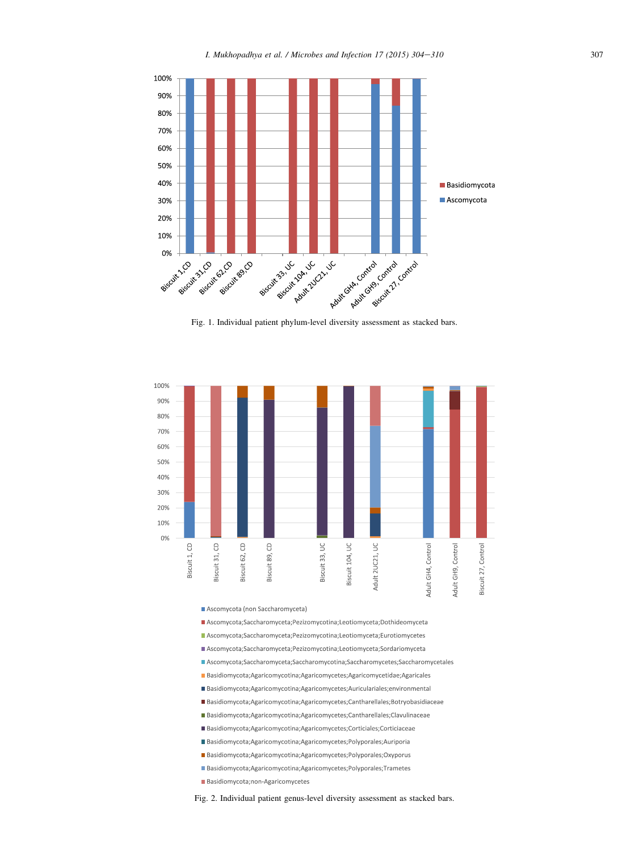<span id="page-3-0"></span>



Ascomycota;Saccharomyceta;Pezizomycotina;Leotiomyceta;Dothideomyceta

- $\blacksquare$  Ascomycota;Saccharomyceta;Pezizomycotina;Leotiomyceta;Eurotiomycetes
- Ascomycota;Saccharomyceta;Pezizomycotina;Leotiomyceta;Sordariomyceta
- Ascomycota;Saccharomyceta;Saccharomycotina;Saccharomycetes;Saccharomycetales
- Basidiomycota;Agaricomycotina;Agaricomycetes;Agaricomycetidae;Agaricales
- $\blacksquare$ <br/>Basidiomycota;Agaricomycotina;Agaricomycetes;Auriculariales;environmental
- Basidiomycota;Agaricomycotina;Agaricomycetes;Cantharellales;Botryobasidiaceae
- Basidiomycota;Agaricomycotina;Agaricomycetes;Cantharellales;Clavulinaceae
- Basidiomycota;Agaricomycotina;Agaricomycetes;Corticiales;Corticiaceae
- Basidiomycota;Agaricomycotina;Agaricomycetes;Polyporales;Auriporia
- Basidiomycota;Agaricomycotina;Agaricomycetes;Polyporales;Oxyporus
- $\blacksquare$  Basidiomycota;Agaricomycotina;Agaricomycetes;Polyporales;Trametes

Basidiomycota;non-Agaricomycetes

Fig. 2. Individual patient genus-level diversity assessment as stacked bars.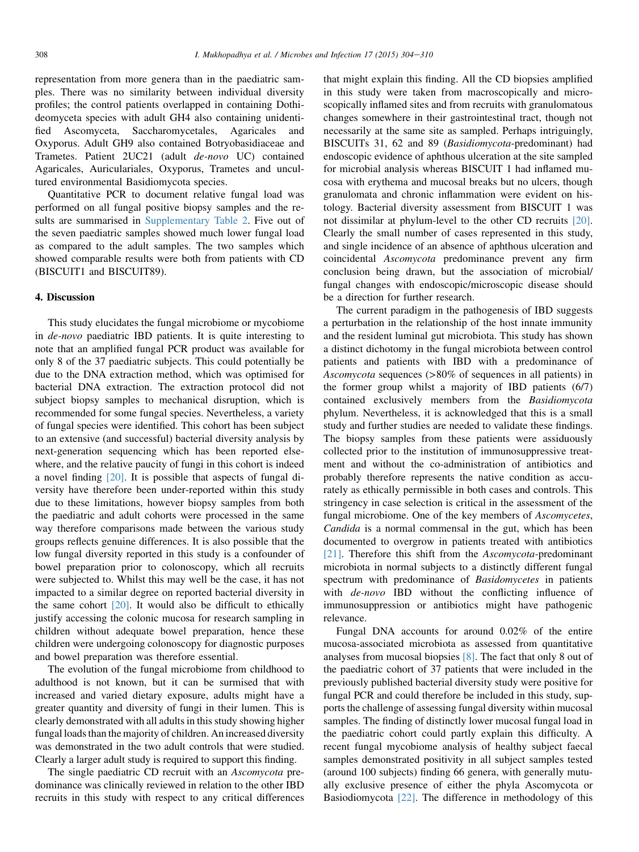representation from more genera than in the paediatric samples. There was no similarity between individual diversity profiles; the control patients overlapped in containing Dothideomyceta species with adult GH4 also containing unidentified Ascomyceta, Saccharomycetales, Agaricales and Oxyporus. Adult GH9 also contained Botryobasidiaceae and Trametes. Patient 2UC21 (adult de-novo UC) contained Agaricales, Auriculariales, Oxyporus, Trametes and uncultured environmental Basidiomycota species.

Quantitative PCR to document relative fungal load was performed on all fungal positive biopsy samples and the results are summarised in Supplementary Table 2. Five out of the seven paediatric samples showed much lower fungal load as compared to the adult samples. The two samples which showed comparable results were both from patients with CD (BISCUIT1 and BISCUIT89).

#### 4. Discussion

This study elucidates the fungal microbiome or mycobiome in de-novo paediatric IBD patients. It is quite interesting to note that an amplified fungal PCR product was available for only 8 of the 37 paediatric subjects. This could potentially be due to the DNA extraction method, which was optimised for bacterial DNA extraction. The extraction protocol did not subject biopsy samples to mechanical disruption, which is recommended for some fungal species. Nevertheless, a variety of fungal species were identified. This cohort has been subject to an extensive (and successful) bacterial diversity analysis by next-generation sequencing which has been reported elsewhere, and the relative paucity of fungi in this cohort is indeed a novel finding [\[20\].](#page-6-0) It is possible that aspects of fungal diversity have therefore been under-reported within this study due to these limitations, however biopsy samples from both the paediatric and adult cohorts were processed in the same way therefore comparisons made between the various study groups reflects genuine differences. It is also possible that the low fungal diversity reported in this study is a confounder of bowel preparation prior to colonoscopy, which all recruits were subjected to. Whilst this may well be the case, it has not impacted to a similar degree on reported bacterial diversity in the same cohort [\[20\].](#page-6-0) It would also be difficult to ethically justify accessing the colonic mucosa for research sampling in children without adequate bowel preparation, hence these children were undergoing colonoscopy for diagnostic purposes and bowel preparation was therefore essential.

The evolution of the fungal microbiome from childhood to adulthood is not known, but it can be surmised that with increased and varied dietary exposure, adults might have a greater quantity and diversity of fungi in their lumen. This is clearly demonstrated with all adults in this study showing higher fungal loads than the majority of children. An increased diversity was demonstrated in the two adult controls that were studied. Clearly a larger adult study is required to support this finding.

The single paediatric CD recruit with an Ascomycota predominance was clinically reviewed in relation to the other IBD recruits in this study with respect to any critical differences that might explain this finding. All the CD biopsies amplified in this study were taken from macroscopically and microscopically inflamed sites and from recruits with granulomatous changes somewhere in their gastrointestinal tract, though not necessarily at the same site as sampled. Perhaps intriguingly, BISCUITs 31, 62 and 89 (Basidiomycota-predominant) had endoscopic evidence of aphthous ulceration at the site sampled for microbial analysis whereas BISCUIT 1 had inflamed mucosa with erythema and mucosal breaks but no ulcers, though granulomata and chronic inflammation were evident on histology. Bacterial diversity assessment from BISCUIT 1 was not dissimilar at phylum-level to the other CD recruits [\[20\]](#page-6-0). Clearly the small number of cases represented in this study, and single incidence of an absence of aphthous ulceration and coincidental Ascomycota predominance prevent any firm conclusion being drawn, but the association of microbial/ fungal changes with endoscopic/microscopic disease should be a direction for further research.

The current paradigm in the pathogenesis of IBD suggests a perturbation in the relationship of the host innate immunity and the resident luminal gut microbiota. This study has shown a distinct dichotomy in the fungal microbiota between control patients and patients with IBD with a predominance of Ascomycota sequences (>80% of sequences in all patients) in the former group whilst a majority of IBD patients (6/7) contained exclusively members from the Basidiomycota phylum. Nevertheless, it is acknowledged that this is a small study and further studies are needed to validate these findings. The biopsy samples from these patients were assiduously collected prior to the institution of immunosuppressive treatment and without the co-administration of antibiotics and probably therefore represents the native condition as accurately as ethically permissible in both cases and controls. This stringency in case selection is critical in the assessment of the fungal microbiome. One of the key members of Ascomycetes, Candida is a normal commensal in the gut, which has been documented to overgrow in patients treated with antibiotics [\[21\]](#page-6-0). Therefore this shift from the Ascomycota-predominant microbiota in normal subjects to a distinctly different fungal spectrum with predominance of Basidomycetes in patients with *de-novo* IBD without the conflicting influence of immunosuppression or antibiotics might have pathogenic relevance.

Fungal DNA accounts for around 0.02% of the entire mucosa-associated microbiota as assessed from quantitative analyses from mucosal biopsies [\[8\].](#page-5-0) The fact that only 8 out of the paediatric cohort of 37 patients that were included in the previously published bacterial diversity study were positive for fungal PCR and could therefore be included in this study, supports the challenge of assessing fungal diversity within mucosal samples. The finding of distinctly lower mucosal fungal load in the paediatric cohort could partly explain this difficulty. A recent fungal mycobiome analysis of healthy subject faecal samples demonstrated positivity in all subject samples tested (around 100 subjects) finding 66 genera, with generally mutually exclusive presence of either the phyla Ascomycota or Basiodiomycota [\[22\]](#page-6-0). The difference in methodology of this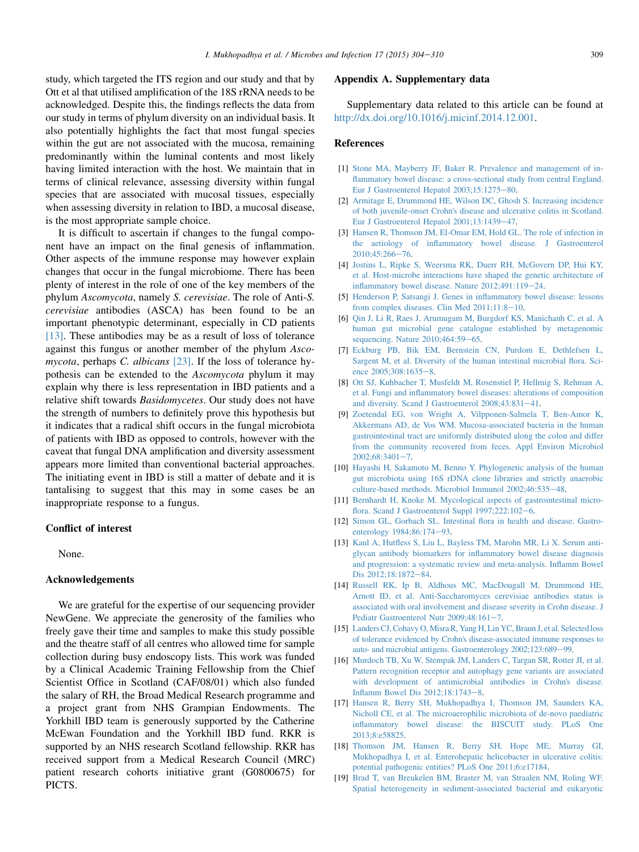<span id="page-5-0"></span>study, which targeted the ITS region and our study and that by Ott et al that utilised amplification of the 18S rRNA needs to be acknowledged. Despite this, the findings reflects the data from our study in terms of phylum diversity on an individual basis. It also potentially highlights the fact that most fungal species within the gut are not associated with the mucosa, remaining predominantly within the luminal contents and most likely having limited interaction with the host. We maintain that in terms of clinical relevance, assessing diversity within fungal species that are associated with mucosal tissues, especially when assessing diversity in relation to IBD, a mucosal disease, is the most appropriate sample choice.

It is difficult to ascertain if changes to the fungal component have an impact on the final genesis of inflammation. Other aspects of the immune response may however explain changes that occur in the fungal microbiome. There has been plenty of interest in the role of one of the key members of the phylum Ascomycota, namely S. cerevisiae. The role of Anti-S. cerevisiae antibodies (ASCA) has been found to be an important phenotypic determinant, especially in CD patients [13]. These antibodies may be as a result of loss of tolerance against this fungus or another member of the phylum Asco-mycota, perhaps C. albicans [\[23\]](#page-6-0). If the loss of tolerance hypothesis can be extended to the Ascomycota phylum it may explain why there is less representation in IBD patients and a relative shift towards Basidomycetes. Our study does not have the strength of numbers to definitely prove this hypothesis but it indicates that a radical shift occurs in the fungal microbiota of patients with IBD as opposed to controls, however with the caveat that fungal DNA amplification and diversity assessment appears more limited than conventional bacterial approaches. The initiating event in IBD is still a matter of debate and it is tantalising to suggest that this may in some cases be an inappropriate response to a fungus.

## Conflict of interest

None.

## Acknowledgements

We are grateful for the expertise of our sequencing provider NewGene. We appreciate the generosity of the families who freely gave their time and samples to make this study possible and the theatre staff of all centres who allowed time for sample collection during busy endoscopy lists. This work was funded by a Clinical Academic Training Fellowship from the Chief Scientist Office in Scotland (CAF/08/01) which also funded the salary of RH, the Broad Medical Research programme and a project grant from NHS Grampian Endowments. The Yorkhill IBD team is generously supported by the Catherine McEwan Foundation and the Yorkhill IBD fund. RKR is supported by an NHS research Scotland fellowship. RKR has received support from a Medical Research Council (MRC) patient research cohorts initiative grant (G0800675) for PICTS.

## Appendix A. Supplementary data

Supplementary data related to this article can be found at <http://dx.doi.org/10.1016/j.micinf.2014.12.001>.

#### References

- [1] [Stone MA, Mayberry JF, Baker R. Prevalence and management of in](http://refhub.elsevier.com/S1286-4579(14)00307-4/sref1)[flammatory bowel disease: a cross-sectional study from central England.](http://refhub.elsevier.com/S1286-4579(14)00307-4/sref1) Eur J Gastroenterol Hepatol  $2003:15:1275-80$ .
- [2] [Armitage E, Drummond HE, Wilson DC, Ghosh S. Increasing incidence](http://refhub.elsevier.com/S1286-4579(14)00307-4/sref2) of both juvenile-onset Crohn'[s disease and ulcerative colitis in Scotland.](http://refhub.elsevier.com/S1286-4579(14)00307-4/sref2) Eur J Gastroenterol Hepatol  $2001;13:1439-47$ .
- [3] [Hansen R, Thomson JM, El-Omar EM, Hold GL. The role of infection in](http://refhub.elsevier.com/S1286-4579(14)00307-4/sref3) [the aetiology of inflammatory bowel disease. J Gastroenterol](http://refhub.elsevier.com/S1286-4579(14)00307-4/sref3) [2010;45:266](http://refhub.elsevier.com/S1286-4579(14)00307-4/sref3)-[76.](http://refhub.elsevier.com/S1286-4579(14)00307-4/sref3)
- [4] [Jostins L, Ripke S, Weersma RK, Duerr RH, McGovern DP, Hui KY,](http://refhub.elsevier.com/S1286-4579(14)00307-4/sref4) [et al. Host-microbe interactions have shaped the genetic architecture of](http://refhub.elsevier.com/S1286-4579(14)00307-4/sref4) inflammatory bowel disease. Nature  $2012;491:119-24$  $2012;491:119-24$ .
- [5] [Henderson P, Satsangi J. Genes in inflammatory bowel disease: lessons](http://refhub.elsevier.com/S1286-4579(14)00307-4/sref5) from complex diseases. Clin Med  $2011;11:8-10$  $2011;11:8-10$ .
- [6] [Qin J, Li R, Raes J, Arumugam M, Burgdorf KS, Manichanh C, et al. A](http://refhub.elsevier.com/S1286-4579(14)00307-4/sref6) [human gut microbial gene catalogue established by metagenomic](http://refhub.elsevier.com/S1286-4579(14)00307-4/sref6) [sequencing. Nature 2010;464:59](http://refhub.elsevier.com/S1286-4579(14)00307-4/sref6)-[65.](http://refhub.elsevier.com/S1286-4579(14)00307-4/sref6)
- [7] [Eckburg PB, Bik EM, Bernstein CN, Purdom E, Dethlefsen L,](http://refhub.elsevier.com/S1286-4579(14)00307-4/sref7) [Sargent M, et al. Diversity of the human intestinal microbial flora. Sci](http://refhub.elsevier.com/S1286-4579(14)00307-4/sref7)[ence 2005;308:1635](http://refhub.elsevier.com/S1286-4579(14)00307-4/sref7)-[8](http://refhub.elsevier.com/S1286-4579(14)00307-4/sref7).
- [8] [Ott SJ, Kuhbacher T, Musfeldt M, Rosenstiel P, Hellmig S, Rehman A,](http://refhub.elsevier.com/S1286-4579(14)00307-4/sref8) [et al. Fungi and inflammatory bowel diseases: alterations of composition](http://refhub.elsevier.com/S1286-4579(14)00307-4/sref8) and diversity. Scand J Gastroenterol  $2008;43:831-41$ .
- [9] [Zoetendal EG, von Wright A, Vilpponen-Salmela T, Ben-Amor K,](http://refhub.elsevier.com/S1286-4579(14)00307-4/sref9) [Akkermans AD, de Vos WM. Mucosa-associated bacteria in the human](http://refhub.elsevier.com/S1286-4579(14)00307-4/sref9) [gastrointestinal tract are uniformly distributed along the colon and differ](http://refhub.elsevier.com/S1286-4579(14)00307-4/sref9) [from the community recovered from feces. Appl Environ Microbiol](http://refhub.elsevier.com/S1286-4579(14)00307-4/sref9)  $2002;68:3401-7.$  $2002;68:3401-7.$  $2002;68:3401-7.$
- [10] [Hayashi H, Sakamoto M, Benno Y. Phylogenetic analysis of the human](http://refhub.elsevier.com/S1286-4579(14)00307-4/sref10) [gut microbiota using 16S rDNA clone libraries and strictly anaerobic](http://refhub.elsevier.com/S1286-4579(14)00307-4/sref10) [culture-based methods. Microbiol Immunol 2002;46:535](http://refhub.elsevier.com/S1286-4579(14)00307-4/sref10)-[48.](http://refhub.elsevier.com/S1286-4579(14)00307-4/sref10)
- [11] [Bernhardt H, Knoke M. Mycological aspects of gastrointestinal micro](http://refhub.elsevier.com/S1286-4579(14)00307-4/sref11)[flora. Scand J Gastroenterol Suppl 1997;222:102](http://refhub.elsevier.com/S1286-4579(14)00307-4/sref11)-[6](http://refhub.elsevier.com/S1286-4579(14)00307-4/sref11).
- [12] [Simon GL, Gorbach SL. Intestinal flora in health and disease. Gastro](http://refhub.elsevier.com/S1286-4579(14)00307-4/sref12)[enterology 1984;86:174](http://refhub.elsevier.com/S1286-4579(14)00307-4/sref12)-[93.](http://refhub.elsevier.com/S1286-4579(14)00307-4/sref12)
- [13] [Kaul A, Hutfless S, Liu L, Bayless TM, Marohn MR, Li X. Serum anti](http://refhub.elsevier.com/S1286-4579(14)00307-4/sref13)[glycan antibody biomarkers for inflammatory bowel disease diagnosis](http://refhub.elsevier.com/S1286-4579(14)00307-4/sref13) [and progression: a systematic review and meta-analysis. Inflamm Bowel](http://refhub.elsevier.com/S1286-4579(14)00307-4/sref13) [Dis 2012;18:1872](http://refhub.elsevier.com/S1286-4579(14)00307-4/sref13)-[84.](http://refhub.elsevier.com/S1286-4579(14)00307-4/sref13)
- [14] [Russell RK, Ip B, Aldhous MC, MacDougall M, Drummond HE,](http://refhub.elsevier.com/S1286-4579(14)00307-4/sref14) [Arnott ID, et al. Anti-Saccharomyces cerevisiae antibodies status is](http://refhub.elsevier.com/S1286-4579(14)00307-4/sref14) [associated with oral involvement and disease severity in Crohn disease. J](http://refhub.elsevier.com/S1286-4579(14)00307-4/sref14) Pediatr Gastroenterol Nutr  $2009;48:161-7$  $2009;48:161-7$ .
- [15] [Landers CJ, Cohavy O, Misra R, Yang H, Lin YC, Braun J, et al. Selected loss](http://refhub.elsevier.com/S1286-4579(14)00307-4/sref15) of tolerance evidenced by Crohn'[s disease-associated immune responses to](http://refhub.elsevier.com/S1286-4579(14)00307-4/sref15) [auto- and microbial antigens. Gastroenterology 2002;123:689](http://refhub.elsevier.com/S1286-4579(14)00307-4/sref15)-[99](http://refhub.elsevier.com/S1286-4579(14)00307-4/sref15).
- [16] [Murdoch TB, Xu W, Stempak JM, Landers C, Targan SR, Rotter JI, et al.](http://refhub.elsevier.com/S1286-4579(14)00307-4/sref16) [Pattern recognition receptor and autophagy gene variants are associated](http://refhub.elsevier.com/S1286-4579(14)00307-4/sref16) [with development of antimicrobial antibodies in Crohn](http://refhub.elsevier.com/S1286-4579(14)00307-4/sref16)'s disease. Inflamm Bowel Dis  $2012:18:1743-8$  $2012:18:1743-8$  $2012:18:1743-8$ .
- [17] [Hansen R, Berry SH, Mukhopadhya I, Thomson JM, Saunders KA,](http://refhub.elsevier.com/S1286-4579(14)00307-4/sref17) [Nicholl CE, et al. The microaerophilic microbiota of de-novo paediatric](http://refhub.elsevier.com/S1286-4579(14)00307-4/sref17) [inflammatory bowel disease: the BISCUIT study. PLoS One](http://refhub.elsevier.com/S1286-4579(14)00307-4/sref17) [2013;8:e58825](http://refhub.elsevier.com/S1286-4579(14)00307-4/sref17).
- [18] [Thomson JM, Hansen R, Berry SH, Hope ME, Murray GI,](http://refhub.elsevier.com/S1286-4579(14)00307-4/sref18) [Mukhopadhya I, et al. Enterohepatic helicobacter in ulcerative colitis:](http://refhub.elsevier.com/S1286-4579(14)00307-4/sref18) [potential pathogenic entities? PLoS One 2011;6:e17184](http://refhub.elsevier.com/S1286-4579(14)00307-4/sref18).
- [19] [Brad T, van Breukelen BM, Braster M, van Straalen NM, Roling WF.](http://refhub.elsevier.com/S1286-4579(14)00307-4/sref19) [Spatial heterogeneity in sediment-associated bacterial and eukaryotic](http://refhub.elsevier.com/S1286-4579(14)00307-4/sref19)